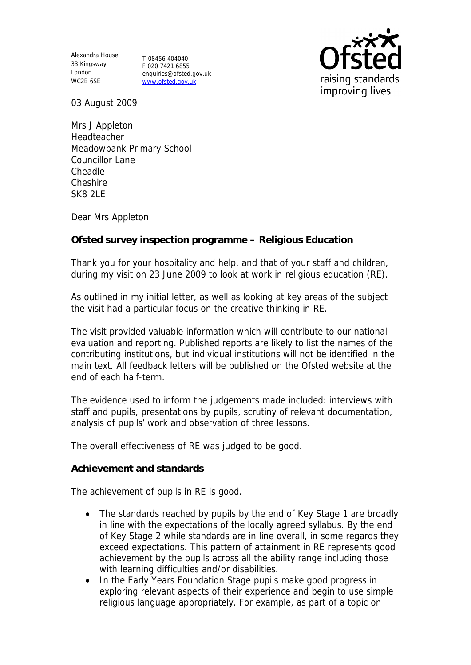Alexandra House 33 Kingsway T 08456 404040 London WC2B 6SE

F 020 7421 6855 enquiries@ofsted.gov.uk www.ofsted.gov.uk



03 August 2009

Mrs J Appleton Headteacher Meadowbank Primary School Councillor Lane Cheadle Cheshire SK8 2LE

Dear Mrs Appleton

**Ofsted survey inspection programme – Religious Education** 

Thank you for your hospitality and help, and that of your staff and children, during my visit on 23 June 2009 to look at work in religious education (RE).

As outlined in my initial letter, as well as looking at key areas of the subject the visit had a particular focus on the creative thinking in RE.

The visit provided valuable information which will contribute to our national evaluation and reporting. Published reports are likely to list the names of the contributing institutions, but individual institutions will not be identified in the main text. All feedback letters will be published on the Ofsted website at the end of each half-term.

The evidence used to inform the judgements made included: interviews with staff and pupils, presentations by pupils, scrutiny of relevant documentation, analysis of pupils' work and observation of three lessons.

The overall effectiveness of RE was judged to be good.

**Achievement and standards** 

The achievement of pupils in RE is good.

- The standards reached by pupils by the end of Key Stage 1 are broadly in line with the expectations of the locally agreed syllabus. By the end of Key Stage 2 while standards are in line overall, in some regards they exceed expectations. This pattern of attainment in RE represents good achievement by the pupils across all the ability range including those with learning difficulties and/or disabilities.
- In the Early Years Foundation Stage pupils make good progress in exploring relevant aspects of their experience and begin to use simple religious language appropriately. For example, as part of a topic on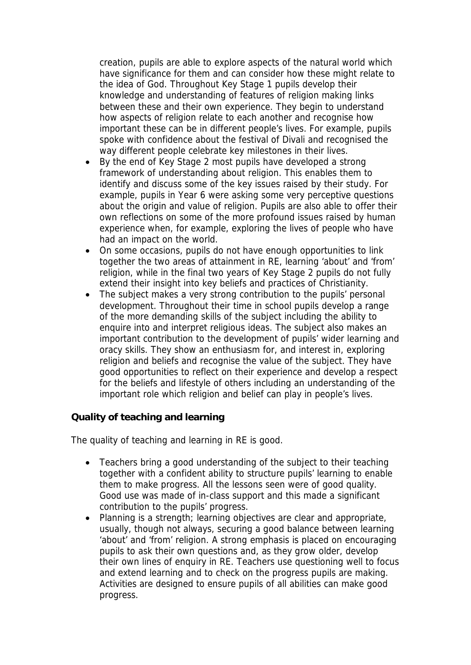creation, pupils are able to explore aspects of the natural world which have significance for them and can consider how these might relate to the idea of God. Throughout Key Stage 1 pupils develop their knowledge and understanding of features of religion making links between these and their own experience. They begin to understand how aspects of religion relate to each another and recognise how important these can be in different people's lives. For example, pupils spoke with confidence about the festival of Divali and recognised the way different people celebrate key milestones in their lives.

- By the end of Key Stage 2 most pupils have developed a strong framework of understanding about religion. This enables them to identify and discuss some of the key issues raised by their study. For example, pupils in Year 6 were asking some very perceptive questions about the origin and value of religion. Pupils are also able to offer their own reflections on some of the more profound issues raised by human experience when, for example, exploring the lives of people who have had an impact on the world.
- On some occasions, pupils do not have enough opportunities to link together the two areas of attainment in RE, learning 'about' and 'from' religion, while in the final two years of Key Stage 2 pupils do not fully extend their insight into key beliefs and practices of Christianity.
- The subject makes a very strong contribution to the pupils' personal development. Throughout their time in school pupils develop a range of the more demanding skills of the subject including the ability to enquire into and interpret religious ideas. The subject also makes an important contribution to the development of pupils' wider learning and oracy skills. They show an enthusiasm for, and interest in, exploring religion and beliefs and recognise the value of the subject. They have good opportunities to reflect on their experience and develop a respect for the beliefs and lifestyle of others including an understanding of the important role which religion and belief can play in people's lives.

**Quality of teaching and learning**

The quality of teaching and learning in RE is good.

- Teachers bring a good understanding of the subject to their teaching together with a confident ability to structure pupils' learning to enable them to make progress. All the lessons seen were of good quality. Good use was made of in-class support and this made a significant contribution to the pupils' progress.
- Planning is a strength; learning objectives are clear and appropriate, usually, though not always, securing a good balance between learning 'about' and 'from' religion. A strong emphasis is placed on encouraging pupils to ask their own questions and, as they grow older, develop their own lines of enquiry in RE. Teachers use questioning well to focus and extend learning and to check on the progress pupils are making. Activities are designed to ensure pupils of all abilities can make good progress.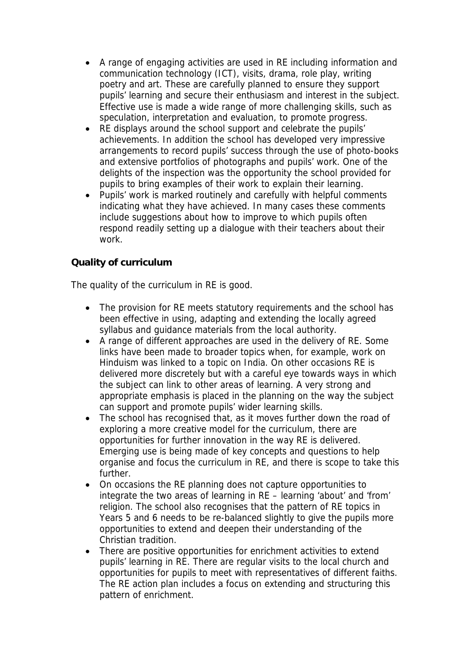- A range of engaging activities are used in RE including information and communication technology (ICT), visits, drama, role play, writing poetry and art. These are carefully planned to ensure they support pupils' learning and secure their enthusiasm and interest in the subject. Effective use is made a wide range of more challenging skills, such as speculation, interpretation and evaluation, to promote progress.
- RE displays around the school support and celebrate the pupils' achievements. In addition the school has developed very impressive arrangements to record pupils' success through the use of photo-books and extensive portfolios of photographs and pupils' work. One of the delights of the inspection was the opportunity the school provided for pupils to bring examples of their work to explain their learning.
- Pupils' work is marked routinely and carefully with helpful comments indicating what they have achieved. In many cases these comments include suggestions about how to improve to which pupils often respond readily setting up a dialogue with their teachers about their work.

## **Quality of curriculum**

The quality of the curriculum in RE is good.

- The provision for RE meets statutory requirements and the school has been effective in using, adapting and extending the locally agreed syllabus and guidance materials from the local authority.
- A range of different approaches are used in the delivery of RE. Some links have been made to broader topics when, for example, work on Hinduism was linked to a topic on India. On other occasions RE is delivered more discretely but with a careful eye towards ways in which the subject can link to other areas of learning. A very strong and appropriate emphasis is placed in the planning on the way the subject can support and promote pupils' wider learning skills.
- The school has recognised that, as it moves further down the road of exploring a more creative model for the curriculum, there are opportunities for further innovation in the way RE is delivered. Emerging use is being made of key concepts and questions to help organise and focus the curriculum in RE, and there is scope to take this further.
- On occasions the RE planning does not capture opportunities to integrate the two areas of learning in RE – learning 'about' and 'from' religion. The school also recognises that the pattern of RE topics in Years 5 and 6 needs to be re-balanced slightly to give the pupils more opportunities to extend and deepen their understanding of the Christian tradition.
- There are positive opportunities for enrichment activities to extend pupils' learning in RE. There are regular visits to the local church and opportunities for pupils to meet with representatives of different faiths. The RE action plan includes a focus on extending and structuring this pattern of enrichment.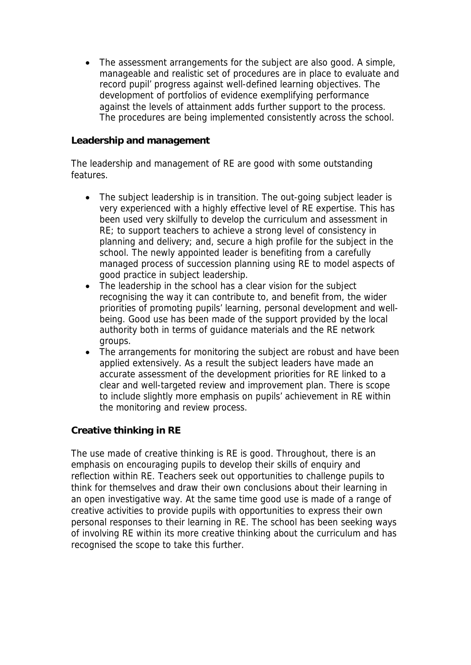• The assessment arrangements for the subject are also good. A simple, manageable and realistic set of procedures are in place to evaluate and record pupil' progress against well-defined learning objectives. The development of portfolios of evidence exemplifying performance against the levels of attainment adds further support to the process. The procedures are being implemented consistently across the school.

## **Leadership and management**

The leadership and management of RE are good with some outstanding features.

- The subject leadership is in transition. The out-going subject leader is very experienced with a highly effective level of RE expertise. This has been used very skilfully to develop the curriculum and assessment in RE; to support teachers to achieve a strong level of consistency in planning and delivery; and, secure a high profile for the subject in the school. The newly appointed leader is benefiting from a carefully managed process of succession planning using RE to model aspects of good practice in subject leadership.
- The leadership in the school has a clear vision for the subiect recognising the way it can contribute to, and benefit from, the wider priorities of promoting pupils' learning, personal development and wellbeing. Good use has been made of the support provided by the local authority both in terms of guidance materials and the RE network groups.
- The arrangements for monitoring the subject are robust and have been applied extensively. As a result the subject leaders have made an accurate assessment of the development priorities for RE linked to a clear and well-targeted review and improvement plan. There is scope to include slightly more emphasis on pupils' achievement in RE within the monitoring and review process.

## **Creative thinking in RE**

The use made of creative thinking is RE is good. Throughout, there is an emphasis on encouraging pupils to develop their skills of enquiry and reflection within RE. Teachers seek out opportunities to challenge pupils to think for themselves and draw their own conclusions about their learning in an open investigative way. At the same time good use is made of a range of creative activities to provide pupils with opportunities to express their own personal responses to their learning in RE. The school has been seeking ways of involving RE within its more creative thinking about the curriculum and has recognised the scope to take this further.